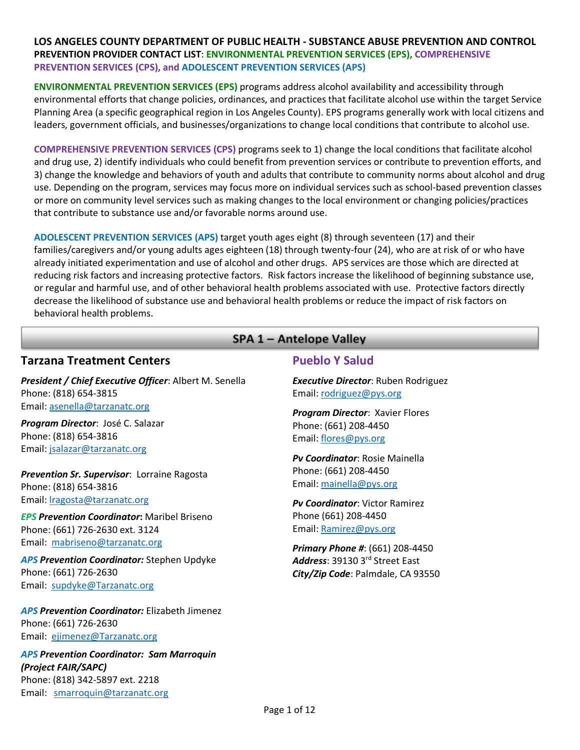**ENVIRONMENTAL PREVENTION SERVICES (EPS)** programs address alcohol availability and accessibility through environmental efforts that change policies, ordinances, and practices that facilitate alcohol use within the target Service Planning Area (a specific geographical region in Los Angeles County). EPS programs generally work with local citizens and leaders, government officials, and businesses/organizations to change local conditions that contribute to alcohol use.

**COMPREHENSIVE PREVENTION SERVICES (CPS)** programs seek to 1) change the local conditions that facilitate alcohol and drug use, 2) identify individuals who could benefit from prevention services or contribute to prevention efforts, and 3) change the knowledge and behaviors of youth and adults that contribute to community norms about alcohol and drug use. Depending on the program, services may focus more on individual services such as school-based prevention classes or more on community level services such as making changes to the local environment or changing policies/practices that contribute to substance use and/or favorable norms around use.

**ADOLESCENT PREVENTION SERVICES (APS)** target youth ages eight (8) through seventeen (17) and their families/caregivers and/or young adults ages eighteen (18) through twenty-four (24), who are at risk of or who have already initiated experimentation and use of alcohol and other drugs. APS services are those which are directed at reducing risk factors and increasing protective factors. Risk factors increase the likelihood of beginning substance use, or regular and harmful use, and of other behavioral health problems associated with use. Protective factors directly decrease the likelihood of substance use and behavioral health problems or reduce the impact of risk factors on behavioral health problems.

## SPA 1 - Antelope Valley

## **Tarzana Treatment Centers**

*President / Chief Executive Officer*: Albert M. Senella Phone: (818) 654-3815 Email: [asenella@tarzanatc.org](mailto:asenella@tarzanatc.org)

*Program Director*: José C. Salazar Phone: (818) 654-3816 Email: [jsalazar@tarzanatc.org](mailto:jsalazar@tarzanatc.org)

*Prevention Sr. Supervisor*: Lorraine Ragosta Phone: (818) 654-3816 Email: [lragosta@tarzanatc.org](mailto:lragosta@tarzanatc.org)

*EPS Prevention Coordinator***:** Maribel Briseno Phone: (661) 726-2630 ext. 3124 Email:[mabriseno@tarzanatc.org](mailto:mabriseno@tarzanatc.org)

*APS Prevention Coordinator:* Stephen Updyke Phone: (661) 726-2630 Email:[supdyke@Tarzanatc.org](mailto:supdyke@Tarzanatc.org)

*APS Prevention Coordinator:* Elizabeth Jimenez Phone: (661) 726-2630 Email:[ejimenez@Tarzanatc.org](mailto:ejimenez@Tarzanatc.org)

*APS Prevention Coordinator: Sam Marroquin (Project FAIR/SAPC)* Phone: (818) 342-5897 ext. 2218 Email: [smarroquin@tarzanatc.org](mailto:smarroquin@tarzanatc.org)

## **Pueblo Y Salud**

*Executive Director*: Ruben Rodriguez Email[: rodriguez@pys.org](mailto:rodriguez@pys.org)

*Program Director*: Xavier Flores Phone: (661) 208-4450 Email[: flores@pys.org](mailto:flores@pys.org)

*Pv Coordinator*: Rosie Mainella Phone: (661) 208-4450 Email[: mainella@pys.org](mailto:mainella@pys.org)

*Pv Coordinator*: Victor Ramirez Phone (661) 208-4450 Email[: Ramirez@pys.org](mailto:Ramirez@pys.org)

*Primary Phone #*: (661) 208-4450 *Address*: 39130 3rd Street East *City/Zip Code*: Palmdale, CA 93550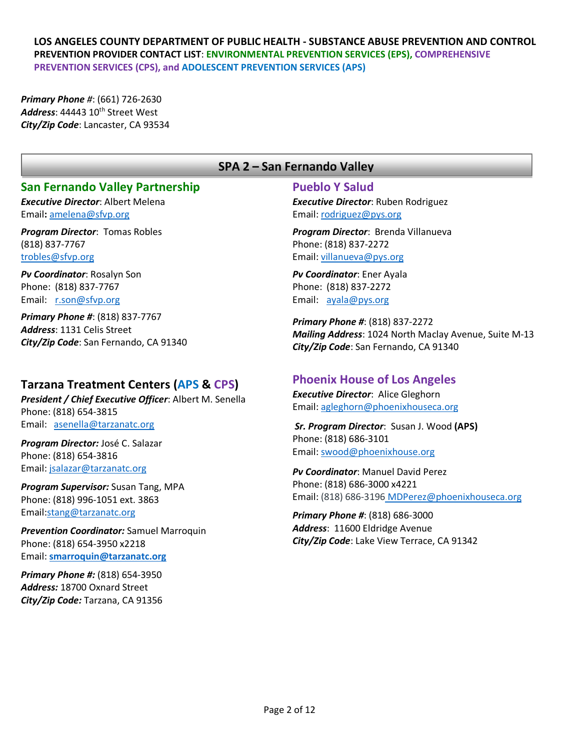*Primary Phone #*: (661) 726-2630 Address: 44443 10<sup>th</sup> Street West *City/Zip Code*: Lancaster, CA 93534

## SPA 2 - San Fernando Valley

## **San Fernando Valley Partnership**

*Executive Director*: Albert Melena Email**:** [amelena@sfvp.org](mailto:amelena@sfvp.org)

*Program Director*:Tomas Robles (818) 837-7767 [trobles@sfvp.org](mailto:trobles@sfvp.org)

*Pv Coordinator*: Rosalyn Son Phone: (818) 837-7767 Email: [r.son@sfvp.org](mailto:r.son@sfvp.org) 

*Primary Phone #*: (818) 837-7767 *Address*: 1131 Celis Street *City/Zip Code*: San Fernando, CA 91340

## **Tarzana Treatment Centers (APS & CPS)**

*President / Chief Executive Officer*: Albert M. Senella Phone: (818) 654-3815 Email: [asenella@tarzanatc.org](mailto:asenella@tarzanatc.org)

*Program Director:* José C. Salazar Phone: (818) 654-3816 Email: [jsalazar@tarzanatc.org](mailto:jsalazar@tarzanatc.org)

*Program Supervisor:* Susan Tang, MPA Phone: (818) 996-1051 ext. 3863 Email[:stang@tarzanatc.org](mailto:stang@tarzanatc.org)

*Prevention Coordinator:* Samuel Marroquin Phone: (818) 654-3950 x2218 Email: **[smarroquin@tarzanatc.org](mailto:smarroquin@tarzanatc.org)**

*Primary Phone #:* (818) 654-3950 *Address:* 18700 Oxnard Street *City/Zip Code:* Tarzana, CA 91356

### **Pueblo Y Salud**

*Executive Director*: Ruben Rodriguez Email[: rodriguez@pys.org](mailto:rodriguez@pys.org)

*Program Director*: Brenda Villanueva Phone: (818) 837-2272 Email[: villanueva@pys.org](mailto:villanueva@pys.org)

*Pv Coordinator*: Ener Ayala Phone: (818) 837-2272 Email: [ayala@pys.org](mailto:ayala@pys.org)

*Primary Phone #*: (818) 837-2272 *Mailing Address*: 1024 North Maclay Avenue, Suite M-13 *City/Zip Code*: San Fernando, CA 91340

## **Phoenix House of Los Angeles**

*Executive Director*: Alice Gleghorn Email[: agleghorn@phoenixhouseca.org](mailto:agleghorn@phoenixhouseca.org)

*Sr. Program Director*: Susan J. Wood **(APS)** Phone: (818) 686-3101 Email[: swood@phoenixhouse.org](mailto:swood@phoenixhouse.org)

*Pv Coordinator*: Manuel David Perez Phone: (818) 686-3000 x4221 Email: (818) 686-3196 [MDPerez@phoenixhouseca.org](mailto:MDPerez@phoenixhouseca.org)

*Primary Phone #*: (818) 686-3000 *Address*: 11600 Eldridge Avenue *City/Zip Code*: Lake View Terrace, CA 91342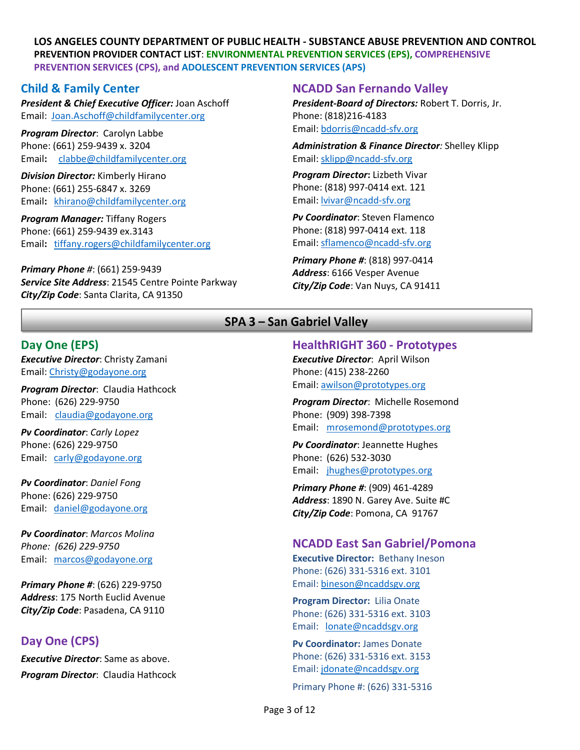### **Child & Family Center**

*President & Chief Executive Officer:* Joan Aschoff Email: [Joan.Aschoff@childfamilycenter.org](mailto:Joan.Aschoff@childfamilycenter.org)

*Program Director*: Carolyn Labbe Phone: (661) 259-9439 x. 3204 Email**:** clabbe@childfamilycenter.org

*Division Director:* Kimberly Hirano Phone: (661) 255-6847 x. 3269 Email**:** [khirano@childfamilycenter.org](mailto:khirano@childfamilycenter.org)

*Program Manager:* Tiffany Rogers Phone: (661) 259-9439 ex.3143 Email**:** [tiffany.rogers@childfamilycenter.org](mailto:tiffany.rogers@childfamilycenter.org)

*Primary Phone #*: (661) 259-9439 *Service Site Address*: 21545 Centre Pointe Parkway *City/Zip Code*: Santa Clarita, CA 91350

#### **NCADD San Fernando Valley**

*President-Board of Directors:* Robert T. Dorris, Jr. Phone: (818)216-4183 Email[: bdorris@ncadd-sfv.org](mailto:bdorris@ncadd-sfv.org)

*Administration & Finance Director:* Shelley Klipp Email: [sklipp@ncadd-sfv.org](mailto:sklipp@ncadd-sfv.org)

*Program Director***:** Lizbeth Vivar Phone: (818) 997-0414 ext. 121 Email[: lvivar@ncadd-sfv.org](mailto:lvivar@ncadd-sfv.org)

*Pv Coordinator*: Steven Flamenco Phone: (818) 997-0414 ext. 118 Email: [sflamenco@ncadd-sfv.org](mailto:sflamenco@ncadd-sfv.org)

*Primary Phone #*: (818) 997-0414 *Address*: 6166 Vesper Avenue *City/Zip Code*: Van Nuys, CA 91411

## SPA 3 - San Gabriel Valley

### **Day One (EPS)**

*Executive Director*: Christy Zamani Email: [Christy@godayone.org](mailto:Christy@godayone.org)

*Program Director*: Claudia Hathcock Phone: (626) 229-9750 Email: [claudia@godayone.org](mailto:claudia@godayone.org)

*Pv Coordinator*: *Carly Lopez* Phone: (626) 229-9750 Email: [carly@godayone.org](mailto:carly@godayone.org)

*Pv Coordinator*: *Daniel Fong* Phone: (626) 229-9750 Email: [daniel@godayone.org](mailto:daniel@godayone.org)

*Pv Coordinator*: *Marcos Molina Phone: (626) 229-9750* Email: [marcos@godayone.org](mailto:marcos@godayone.org)

*Primary Phone #*: (626) 229-9750 *Address*: 175 North Euclid Avenue *City/Zip Code*: Pasadena, CA 9110

## **Day One (CPS)**

*Executive Director*: Same as above. *Program Director*: Claudia Hathcock

# **HealthRIGHT 360 - Prototypes**

*Executive Director*: April Wilson Phone: (415) 238-2260 Email[: awilson@prototypes.org](mailto:awilson@prototypes.org)

*Program Director*: Michelle Rosemond Phone: (909) 398-7398 Email: [mrosemond@prototypes.org](mailto:mrosemond@prototypes.org)

*Pv Coordinator*: Jeannette Hughes Phone: (626) 532-3030 Email: [jhughes@prototypes.org](mailto:jhughes@prototypes.org)

*Primary Phone #*: (909) 461-4289 *Address*: 1890 N. Garey Ave. Suite #C *City/Zip Code*: Pomona, CA 91767

#### **NCADD East San Gabriel/Pomona**

**Executive Director:** Bethany Ineson Phone: (626) 331-5316 ext. 3101 Email[: bineson@ncaddsgv.org](mailto:bineson@ncaddsgv.org)

**Program Director:** Lilia Onate Phone: (626) 331-5316 ext. 3103 Email: [lonate@ncaddsgv.org](mailto:lonate@ncaddsgv.org) 

**Pv Coordinator:** James Donate Phone: (626) 331-5316 ext. 3153 Email[: jdonate@ncaddsgv.org](mailto:jdonate@ncaddsgv.org)

Primary Phone #: (626) 331-5316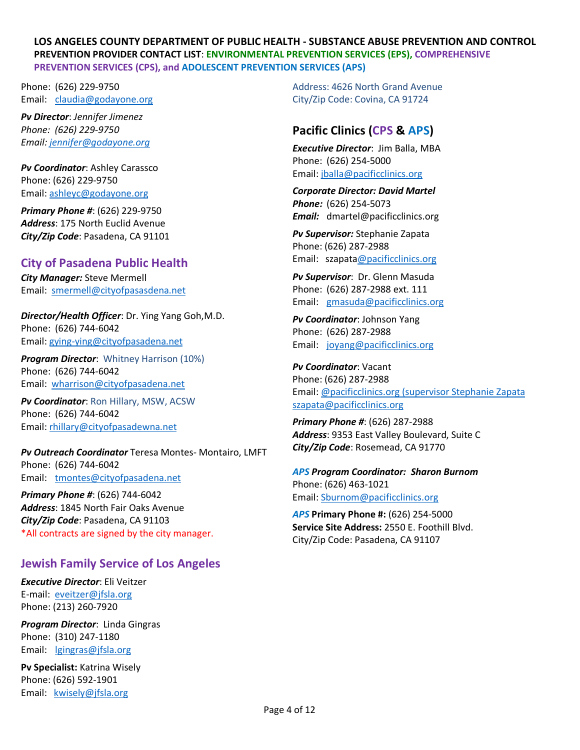Phone: (626) 229-9750 Email: [claudia@godayone.org](mailto:claudia@godayone.org)

*Pv Director*: *Jennifer Jimenez Phone: (626) 229-9750 Email: [jennifer@godayone.org](mailto:jennifer@godayone.org)*

*Pv Coordinator*: Ashley Carassco Phone: (626) 229-9750 Email: [ashleyc@godayone.org](mailto:ashleyc@godayone.org)

*Primary Phone #*: (626) 229-9750 *Address*: 175 North Euclid Avenue *City/Zip Code*: Pasadena, CA 91101

## **City of Pasadena Public Health**

*City Manager:* Steve Mermell Email: [smermell@cityofpasasdena.net](mailto:smermell@cityofpasasdena.net)

*Director/Health Officer*: Dr. Ying Yang Goh,M.D. Phone: (626) 744-6042 Email: [gying-ying@cityofpasadena.net](mailto:gying-ying@cityofpasadena.net)

*Program Director*: Whitney Harrison (10%) Phone: (626) 744-6042 Email: [wharrison@cityofpasadena.net](mailto:wharrison@cityofpasadena.net)

*Pv Coordinator*: Ron Hillary, MSW, ACSW Phone: (626) 744-6042 Email: [rhillary@cityofpasadewna.net](mailto:rhillary@cityofpasadewna.net)

*Pv Outreach Coordinator* Teresa Montes- Montairo, LMFT Phone: (626) 744-6042 Email: [tmontes@cityofpasadena.net](mailto:tmontes@cityofpasadena.net)

*Primary Phone #*: (626) 744-6042 *Address*: 1845 North Fair Oaks Avenue *City/Zip Code*: Pasadena, CA 91103 \*All contracts are signed by the city manager.

## **Jewish Family Service of Los Angeles**

*Executive Director*: Eli Veitzer E-mail: [eveitzer@jfsla.org](mailto:eveitzer@jfsla.org) Phone: (213) 260-7920

*Program Director*: Linda Gingras Phone: (310) 247-1180 Email: [lgingras@jfsla.org](mailto:lgingras@jfsla.org)

**Pv Specialist:** Katrina Wisely Phone: (626) 592-1901 Email: [kwisely@jfsla.org](mailto:sdavis@jfsla.org)

Address: 4626 North Grand Avenue City/Zip Code: Covina, CA 91724

# **Pacific Clinics (CPS & APS)**

*Executive Director*: Jim Balla, MBA Phone: (626) 254-5000 Email[: jballa@pacificclinics.org](mailto:jballa@pacificclinics.org)

*Corporate Director: David Martel Phone:* (626) 254-5073 *Email:* dmartel@pacificclinics.org

*Pv Supervisor:* Stephanie Zapata Phone: (626) 287-2988 Email: szapat[a@pacificclinics.org](mailto:tgock@pacificclinics.org)

*Pv Supervisor*: Dr. Glenn Masuda Phone: (626) 287-2988 ext. 111 Email: [gmasuda@pacificclinics.org](mailto:gmasuda@pacificclinics.org)

*Pv Coordinator*: Johnson Yang Phone: (626) 287-2988 Email: [joyang@pacificclinics.org](mailto:joyang@pacificclinics.org)

*Pv Coordinator*: Vacant Phone: (626) 287-2988 Email[: @pacificclinics.org](mailto:lewoo@pacificclinics.org) (supervisor Stephanie Zapata [szapata@pacificclinics.org](mailto:szapata@pacificclinics.org)

*Primary Phone #*: (626) 287-2988 *Address*: 9353 East Valley Boulevard, Suite C *City/Zip Code*: Rosemead, CA 91770

*APS Program Coordinator: Sharon Burnom* Phone: (626) 463-1021 Email[: Sburnom@pacificclinics.org](mailto:Sburnom@pacificclinics.org)

*APS* **Primary Phone #:** (626) 254-5000 **Service Site Address:** 2550 E. Foothill Blvd. City/Zip Code: Pasadena, CA 91107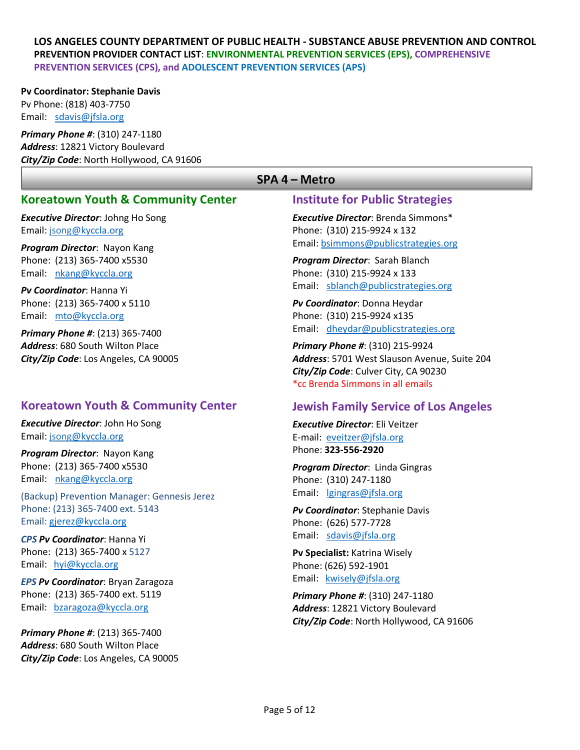#### **Pv Coordinator: Stephanie Davis**

Pv Phone: (818) 403-7750 Email: [sdavis@jfsla.org](mailto:sdavis@jfsla.org)

*Primary Phone #*: (310) 247-1180 *Address*: 12821 Victory Boulevard *City/Zip Code*: North Hollywood, CA 91606

## **Koreatown Youth & Community Center**

*Executive Director*: Johng Ho Song Email: [jsong@kyccla.org](mailto:info@kyccla.org)

*Program Director*: Nayon Kang Phone: (213) 365-7400 x5530 Email: [nkang@kyccla.org](mailto:nkang@kyccla.org)

*Pv Coordinator*: Hanna Yi Phone: (213) 365-7400 x 5110 Email: [mto@kyccla.org](mailto:mto@kyccla.org)

*Primary Phone #*: (213) 365-7400 *Address*: 680 South Wilton Place *City/Zip Code*: Los Angeles, CA 90005

## **Koreatown Youth & Community Center**

*Executive Director*: John Ho Song Email: [jsong@kyccla.org](mailto:info@kyccla.org)

*Program Director*: Nayon Kang Phone: (213) 365-7400 x5530 Email: [nkang@kyccla.org](mailto:nkang@kyccla.org)

(Backup) Prevention Manager: Gennesis Jerez Phone: (213) 365-7400 ext. 5143 Email: [gjerez@kyccla.org](mailto:gjerez@kyccla.org)

*CPS Pv Coordinator*: Hanna Yi Phone: (213) 365-7400 x 5127 Email: [hyi@kyccla.org](mailto:hyi@kyccla.org)

*EPS Pv Coordinator*: Bryan Zaragoza Phone: (213) 365-7400 ext. 5119 Email: [bzaragoza@kyccla.org](mailto:bzaragoza@kyccla.org)

*Primary Phone #*: (213) 365-7400 *Address*: 680 South Wilton Place *City/Zip Code*: Los Angeles, CA 90005

### SPA 4 - Metro

#### **Institute for Public Strategies**

*Executive Director*: Brenda Simmons\* Phone: (310) 215-9924 x 132 Email[: bsimmons@publicstrategies.org](mailto:bsimmons@publicstrategies.org)

*Program Director*: Sarah Blanch Phone: (310) 215-9924 x 133 Email: [sblanch@publicstrategies.org](mailto:sblanch@publicstrategies.org)

*Pv Coordinator*: Donna Heydar Phone: (310) 215-9924 x135 Email: [dheydar@publicstrategies.org](mailto:dheydar@publicstrategies.org)

*Primary Phone #*: (310) 215-9924 *Address*: 5701 West Slauson Avenue, Suite 204 *City/Zip Code*: Culver City, CA 90230 \*cc Brenda Simmons in all emails

## **Jewish Family Service of Los Angeles**

*Executive Director*: Eli Veitzer E-mail: [eveitzer@jfsla.org](mailto:eveitzer@jfsla.org) Phone: **323-556-2920**

*Program Director*: Linda Gingras Phone: (310) 247-1180 Email: [lgingras@jfsla.org](mailto:lgingras@jfsla.org)

*Pv Coordinator*: Stephanie Davis Phone: (626) 577-7728 Email: [sdavis@jfsla.org](mailto:sdavis@jfsla.org)

**Pv Specialist:** Katrina Wisely Phone: (626) 592-1901 Email: [kwisely@jfsla.org](mailto:sdavis@jfsla.org)

*Primary Phone #*: (310) 247-1180 *Address*: 12821 Victory Boulevard *City/Zip Code*: North Hollywood, CA 91606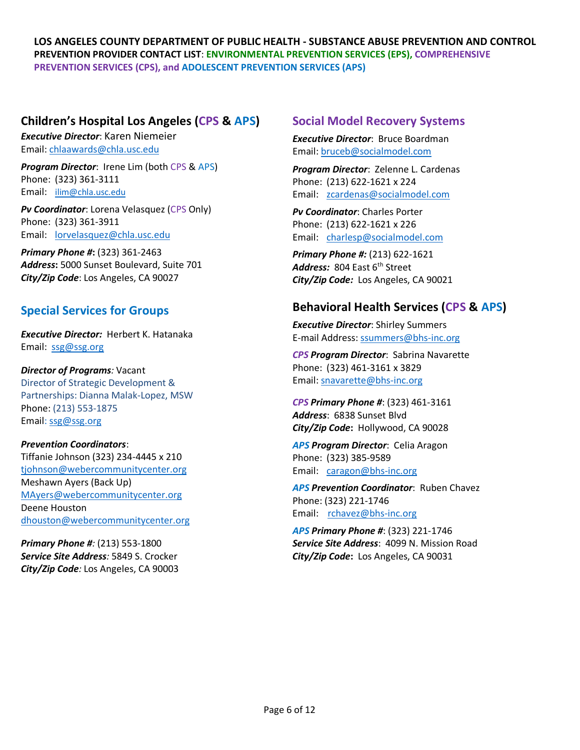## **Children's Hospital Los Angeles (CPS & APS)**

*Executive Director*: Karen Niemeier Email: [chlaawards@chla.usc.edu](mailto:chlaawards@chla.usc.edu)

*Program Director*: Irene Lim (both CPS & APS) Phone: (323) 361-3111 Email: [ilim@chla.usc.edu](mailto:ilim@chla.usc.edu)

*Pv Coordinator*: Lorena Velasquez (CPS Only) Phone: (323) 361-3911 Email: [lorvelasquez@chla.usc.edu](mailto:lorvelasquez@chla.usc.edu)

*Primary Phone #***:** (323) 361-2463 *Address***:** 5000 Sunset Boulevard, Suite 701 *City/Zip Code*: Los Angeles, CA 90027

## **Special Services for Groups**

*Executive Director:* Herbert K. Hatanaka Email: [ssg@ssg.org](mailto:ssg@ssg.org)

*Director of Programs:* Vacant Director of Strategic Development & Partnerships: Dianna Malak-Lopez, MSW Phone: (213) 553-1875 Email: [ssg@ssg.org](mailto:ssg@ssg.org)

#### *Prevention Coordinators*:

Tiffanie Johnson (323) 234-4445 x 210 [tjohnson@webercommunitycenter.org](mailto:tjohnson@webercommunitycenter.org) Meshawn Ayers (Back Up) [MAyers@webercommunitycenter.org](mailto:MAyers@webercommunitycenter.org) Deene Houston dhouston@webercommunitycenter.org

*Primary Phone #:* (213) 553-1800 *Service Site Address:* 5849 S. Crocker *City/Zip Code:* Los Angeles, CA 90003

## **Social Model Recovery Systems**

*Executive Director*: Bruce Boardman Email[: bruceb@socialmodel.com](mailto:bruceb@socialmodel.com)

*Program Director*: Zelenne L. Cardenas Phone: (213) 622-1621 x 224 Email: [zcardenas@socialmodel.com](mailto:zcardenas@socialmodel.com)

*Pv Coordinator*: Charles Porter Phone: (213) 622-1621 x 226 Email: [charlesp@socialmodel.com](mailto:charlesp@socialmodel.com)

*Primary Phone #:* (213) 622-1621 Address: 804 East 6<sup>th</sup> Street *City/Zip Code:* Los Angeles, CA 90021

## **Behavioral Health Services (CPS & APS)**

*Executive Director*: Shirley Summers E-mail Address[: ssummers@bhs-inc.org](mailto:ssummers@bhs-inc.org)

*CPS Program Director*: Sabrina Navarette Phone: (323) 461-3161 x 3829 Email[: snavarette@bhs-inc.org](mailto:snavarette@bhs-inc.org)

*CPS Primary Phone #*: (323) 461-3161 *Address*: 6838 Sunset Blvd *City/Zip Code***:** Hollywood, CA 90028

*APS Program Director*: Celia Aragon Phone: (323) 385-9589 Email: [caragon@bhs-inc.org](mailto:caragon@bhs-inc.org)

*APS Prevention Coordinator*: Ruben Chavez Phone: (323) 221-1746 Email: [rchavez@bhs-inc.org](mailto:rchavez@bhs-inc.org)

*APS Primary Phone #*: (323) 221-1746 *Service Site Address*: 4099 N. Mission Road *City/Zip Code***:** Los Angeles, CA 90031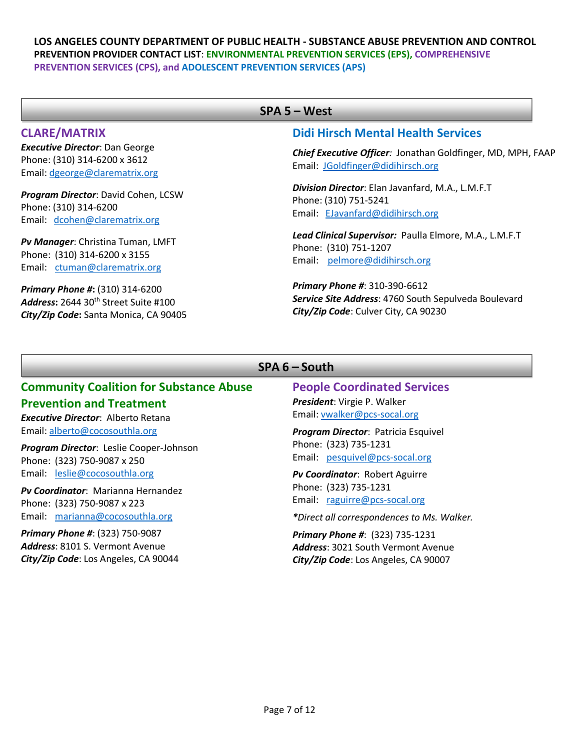#### **CLARE/MATRIX**

*Executive Director*: Dan George Phone: (310) 314-6200 x 3612 Email: [dgeorge@clarematrix.org](mailto:dgeorge@clarematrix.org)

*Program Director*: David Cohen, LCSW Phone: (310) 314-6200 Email: [dcohen@clarematrix.org](mailto:dcohen@clarematrix.org)

*Pv Manager*: Christina Tuman, LMFT Phone: (310) 314-6200 x 3155 Email: [ctuman@clarematrix.org](mailto:ctuman@clarematrix.org)

*Primary Phone #***:** (310) 314-6200 *Address***:** 2644 30th Street Suite #100 *City/Zip Code***:** Santa Monica, CA 90405

## SPA 5 - West

#### **Didi Hirsch Mental Health Services**

*Chief Executive Officer:* Jonathan Goldfinger, MD, MPH, FAAP Email: [JGoldfinger@didihirsch.org](mailto:JGoldfinger@didihirsch.org)

*Division Director*: Elan Javanfard, M.A., L.M.F.T Phone: (310) 751-5241 Email: [EJavanfard@didihirsch.org](mailto:EJavanfard@didihirsch.org)

*Lead Clinical Supervisor:* Paulla Elmore, M.A., L.M.F.T Phone: (310) 751-1207 Email: [pelmore@didihirsch.org](mailto:pelmore@didihirsch.org)

*Primary Phone #*: 310-390-6612 *Service Site Address*: 4760 South Sepulveda Boulevard *City/Zip Code*: Culver City, CA 90230

### SPA 6 - South

#### **Community Coalition for Substance Abuse Prevention and Treatment**

*Executive Director*: Alberto Retana Email: [alberto@cocosouthla.org](mailto:alberto@cocosouthla.org)

*Program Director*: Leslie Cooper-Johnson Phone: (323) 750-9087 x 250 Email: [leslie@cocosouthla.org](mailto:leslie@cocosouthla.org)

*Pv Coordinator*: Marianna Hernandez Phone: (323) 750-9087 x 223 Email: [marianna@cocosouthla.org](mailto:marianna@cocosouthla.org)

*Primary Phone #*: (323) 750-9087 *Address*: 8101 S. Vermont Avenue *City/Zip Code*: Los Angeles, CA 90044 **People Coordinated Services**  *President*: Virgie P. Walker Email[: vwalker@pcs-socal.org](mailto:vwalker@pcs-socal.org)

*Program Director*: Patricia Esquivel Phone: (323) 735-1231 Email: [pesquivel@pcs-socal.org](mailto:pesquivel@pcs-socal.org)

*Pv Coordinator*: Robert Aguirre Phone: (323) 735-1231 Email: [raguirre@pcs-socal.org](mailto:raguirre@pcs-socal.org)

*\*Direct all correspondences to Ms. Walker.* 

*Primary Phone #*: (323) 735-1231 *Address*: 3021 South Vermont Avenue *City/Zip Code*: Los Angeles, CA 90007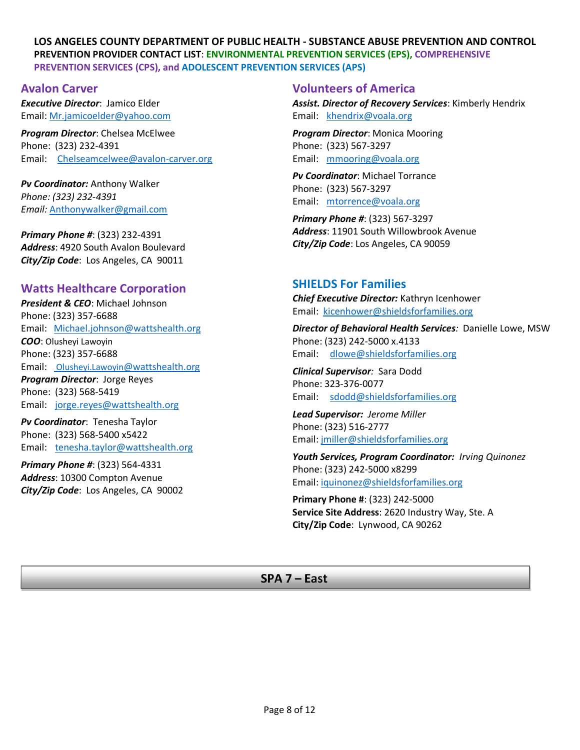### **Avalon Carver**

*Executive Director*: Jamico Elder Email: [Mr.jamicoelder@yahoo.com](mailto:Mr.jamicoelder@yahoo.com)

*Program Director*: Chelsea McElwee Phone: (323) 232-4391 Email: [Chelseamcelwee@avalon-carver.org](mailto:Chelseamcelwee@avalon-carver.org)

*Pv Coordinator:* Anthony Walker *Phone: (323) 232-4391 Email:* [Anthonywalker@gmail.com](mailto:Anthonywalker@gmail.com)

*Primary Phone #*: (323) 232-4391 *Address*: 4920 South Avalon Boulevard *City/Zip Code*: Los Angeles, CA 90011

## **Watts Healthcare Corporation**

*President & CEO*: Michael Johnson Phone: (323) 357-6688 Email: [Michael.johnson@wattshealth.org](mailto:Michael.johnson@wattshealth.org) *COO*: Olusheyi Lawoyin Phone: (323) 357-6688 Email: [Olusheyi.Lawoyin@wattshealth.org](mailto:%20Olusheyi.Lawoyin@wattshealth.org) *Program Director*: Jorge Reyes Phone: (323) 568-5419 Email: [jorge.reyes@wattshealth.org](mailto:jorge.reyes@wattshealth.org) 

*Pv Coordinator*: Tenesha Taylor Phone: (323) 568-5400 x5422 Email: [tenesha.taylor@wattshealth.org](mailto:tenesha.taylor@wattshealth.org)

*Primary Phone #*: (323) 564-4331 *Address*: 10300 Compton Avenue *City/Zip Code*: Los Angeles, CA 90002

## **Volunteers of America**

*Assist. Director of Recovery Services*: Kimberly Hendrix Email: [khendrix@voala.org](mailto:khendrix@voala.org)

*Program Director*: Monica Mooring Phone: (323) 567-3297 Email: [mmooring@voala.org](mailto:mmooring@voala.org)

*Pv Coordinator*: Michael Torrance Phone: (323) 567-3297 Email: [mtorrence@voala.org](mailto:mtorrence@voala.org)

*Primary Phone #*: (323) 567-3297 *Address*: 11901 South Willowbrook Avenue *City/Zip Code*: Los Angeles, CA 90059

## **SHIELDS For Families**

*Chief Executive Director:* Kathryn Icenhower Email: [kicenhower@shieldsforfamilies.org](mailto:kicenhower@shieldsforfamilies.org)

*Director of Behavioral Health Services:* Danielle Lowe, MSW Phone: (323) 242-5000 x.4133 Email: [dlowe@shieldsforfamilies.org](mailto:dlowe@shieldsforfamilies.org)

*Clinical Supervisor:* Sara Dodd Phone: 323-376-0077 Email: [sdodd@shieldsforfamilies.org](mailto:sdodd@shieldsforfamilies.org)

*Lead Supervisor: Jerome Miller* Phone: (323) 516-2777 Email: [jmiller@shieldsforfamilies.org](mailto:jmiller@shieldsforfamilies.org)

*Youth Services, Program Coordinator: Irving Quinonez* Phone: (323) 242-5000 x8299 Email: [iquinonez@shieldsforfamilies.org](mailto:iquinonez@shieldsforfamilies.org)

**Primary Phone #**: (323) 242-5000 **Service Site Address**: 2620 Industry Way, Ste. A **City/Zip Code**: Lynwood, CA 90262

## SPA 7 - East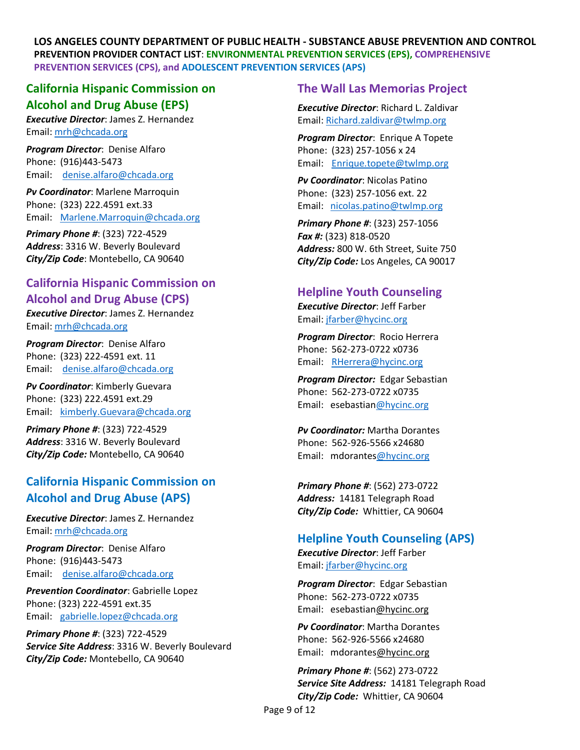## **California Hispanic Commission on Alcohol and Drug Abuse (EPS)**

*Executive Director*: James Z. Hernandez Email[: mrh@chcada.org](mailto:mrh@chcada.org)

*Program Director*: Denise Alfaro Phone: (916)443-5473 Email: [denise.alfaro@chcada.org](mailto:denise.alfaro@chcada.org)

*Pv Coordinator*: Marlene Marroquin Phone: (323) 222.4591 ext.33 Email: [Marlene.Marroquin@chcada.org](mailto:Marlene.Marroquin@chcada.org)

*Primary Phone #*: (323) 722-4529 *Address*: 3316 W. Beverly Boulevard *City/Zip Code*: Montebello, CA 90640

# **California Hispanic Commission on Alcohol and Drug Abuse (CPS)**

*Executive Director*: James Z. Hernandez Email[: mrh@chcada.org](mailto:mrh@chcada.org)

*Program Director*: Denise Alfaro Phone: (323) 222-4591 ext. 11 Email: [denise.alfaro@chcada.org](mailto:denise.alfaro@chcada.org)

*Pv Coordinator*: Kimberly Guevara Phone: (323) 222.4591 ext.29 Email: [kimberly.Guevara@chcada.org](mailto:kimberly.Guevara@chcada.org)

*Primary Phone #*: (323) 722-4529 *Address*: 3316 W. Beverly Boulevard *City/Zip Code:* Montebello, CA 90640

# **California Hispanic Commission on Alcohol and Drug Abuse (APS)**

*Executive Director*: James Z. Hernandez Email[: mrh@chcada.org](mailto:mrh@chcada.org)

*Program Director*: Denise Alfaro Phone: (916)443-5473 Email: [denise.alfaro@chcada.org](mailto:denise.alfaro@chcada.org)

*Prevention Coordinator*: Gabrielle Lopez Phone: (323) 222-4591 ext.35 Email: [gabrielle.lopez@chcada.org](mailto:gabrielle.lopez@chcada.org)

*Primary Phone #*: (323) 722-4529 *Service Site Address*: 3316 W. Beverly Boulevard *City/Zip Code:* Montebello, CA 90640

## **The Wall Las Memorias Project**

*Executive Director*: Richard L. Zaldivar Email: [Richard.zaldivar@twlmp.org](mailto:Richard.zaldivar@twlmp.org)

*Program Director*: Enrique A Topete Phone: (323) 257-1056 x 24 Email: [Enrique.topete@twlmp.org](mailto:Enrique.topete@twlmp.org)

*Pv Coordinator*: Nicolas Patino Phone: (323) 257-1056 ext. 22 Email: [nicolas.patino@twlmp.org](mailto:nicolas.patino@twlmp.org)

*Primary Phone #*: (323) 257-1056 *Fax #:* (323) 818-0520 *Address:* 800 W. 6th Street, Suite 750 *City/Zip Code:* Los Angeles, CA 90017

## **Helpline Youth Counseling**

*Executive Director*: Jeff Farber Email: [jfarber@hycinc.org](mailto:jfarber@hycinc.org)

*Program Director*: Rocio Herrera Phone: 562-273-0722 x0736 Email: [RHerrera@hycinc.org](mailto:RHerrera@hycinc.org)

*Program Director:* Edgar Sebastian Phone: 562-273-0722 x0735 Email: esebastia[n@hycinc.org](mailto:RHerrera@hycinc.org)

*Pv Coordinator:* Martha Dorantes Phone: 562-926-5566 x24680 Email: mdorante[s@hycinc.org](mailto:smoua@hycinc.org)

*Primary Phone #*: (562) 273-0722 *Address:* 14181 Telegraph Road *City/Zip Code:* Whittier, CA 90604

## **Helpline Youth Counseling (APS)**

*Executive Director*: Jeff Farber Email: [jfarber@hycinc.org](mailto:jfarber@hycinc.org)

*Program Director*: Edgar Sebastian Phone: 562-273-0722 x0735 Email: esebastia[n@hycinc.org](mailto:RHerrera@hycinc.org)

*Pv Coordinator*: Martha Dorantes Phone: 562-926-5566 x24680 Email: mdorante[s@hycinc.org](mailto:smoua@hycinc.org)

*Primary Phone #*: (562) 273-0722 *Service Site Address:* 14181 Telegraph Road *City/Zip Code:* Whittier, CA 90604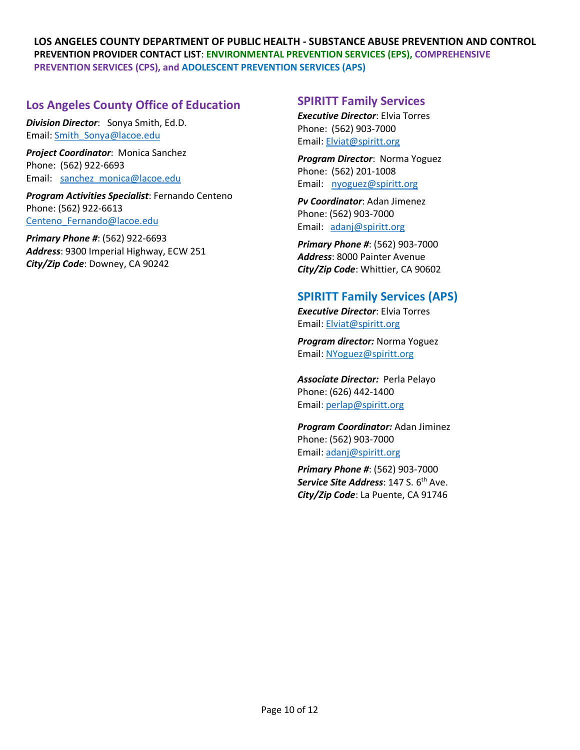## **Los Angeles County Office of Education**

*Division Director*: Sonya Smith, Ed.D. Email[: Smith\\_Sonya@lacoe.edu](mailto:Smith_Sonya@lacoe.edu)

*Project Coordinator*: Monica Sanchez Phone: (562) 922-6693 Email: [sanchez\\_monica@lacoe.edu](mailto:sanchez_monica@lacoe.edu)

*Program Activities Specialist*: Fernando Centeno Phone: (562) 922-6613 Centeno Fernando@lacoe.edu

*Primary Phone #*: (562) 922-6693 *Address*: 9300 Imperial Highway, ECW 251 *City/Zip Code*: Downey, CA 90242

## **SPIRITT Family Services**

*Executive Director*: Elvia Torres Phone: (562) 903-7000 Email: [Elviat@spiritt.org](mailto:Elviat@spiritt.org)

*Program Director*: Norma Yoguez Phone: (562) 201-1008 Email: [nyoguez@spiritt.org](mailto:nyoguez@spiritt.org)

*Pv Coordinator*: Adan Jimenez Phone: (562) 903-7000 Email: [adanj@spiritt.org](mailto:adanj@spiritt.org)

*Primary Phone #*: (562) 903-7000 *Address*: 8000 Painter Avenue *City/Zip Code*: Whittier, CA 90602

## **SPIRITT Family Services (APS)**

*Executive Director*: Elvia Torres Email: [Elviat@spiritt.org](mailto:Elviat@spiritt.org)

*Program director:* Norma Yoguez Email: [NYoguez@spiritt.org](mailto:NYoguez@spiritt.org)

*Associate Director:* Perla Pelayo Phone: (626) 442-1400 Email: [perlap@spiritt.org](mailto:perlap@spiritt.org)

*Program Coordinator:* Adan Jiminez Phone: (562) 903-7000 Email: [adanj@spiritt.org](mailto:adanj@spiritt.org)

*Primary Phone #*: (562) 903-7000 **Service Site Address: 147 S. 6<sup>th</sup> Ave.** *City/Zip Code*: La Puente, CA 91746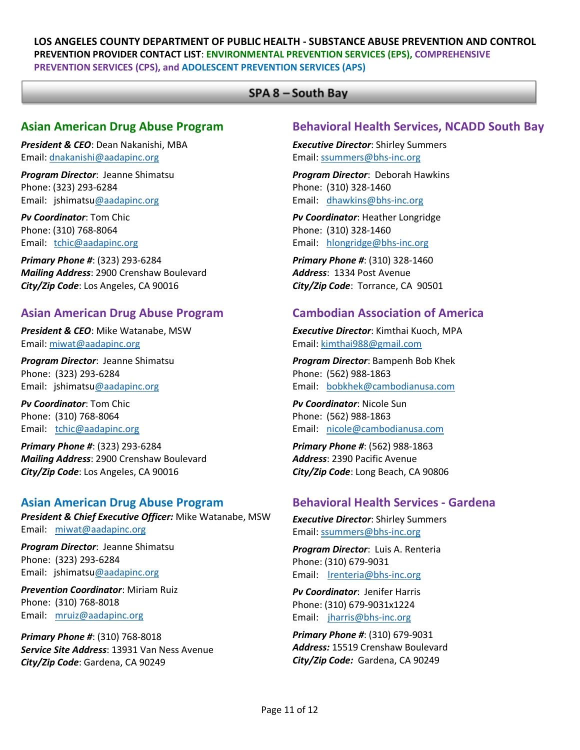### SPA 8 - South Bay

## **Asian American Drug Abuse Program**

*President & CEO*: Dean Nakanishi, MBA Email: [dnakanishi@aadapinc.org](mailto:dnakanishi@aadapinc.org)

*Program Director*: Jeanne Shimatsu Phone: (323) 293-6284 Email: jshimats[u@aadapinc.org](mailto:hmakiyama@aadapinc.org)

*Pv Coordinator*: Tom Chic Phone: (310) 768-8064 Email: [tchic@aadapinc.org](mailto:tchic@aadapinc.org)

*Primary Phone #*: (323) 293-6284 *Mailing Address*: 2900 Crenshaw Boulevard *City/Zip Code*: Los Angeles, CA 90016

## **Asian American Drug Abuse Program**

*President & CEO*: Mike Watanabe, MSW Email: [miwat@aadapinc.org](mailto:miwat@aadapinc.org)

*Program Director*: Jeanne Shimatsu Phone: (323) 293-6284 Email: jshimats[u@aadapinc.org](mailto:hmakiyama@aadapinc.org)

*Pv Coordinator*: Tom Chic Phone: (310) 768-8064 Email: [tchic@aadapinc.org](mailto:tchic@aadapinc.org)

*Primary Phone #*: (323) 293-6284 *Mailing Address*: 2900 Crenshaw Boulevard *City/Zip Code*: Los Angeles, CA 90016

## **Asian American Drug Abuse Program**

*President & Chief Executive Officer:* Mike Watanabe, MSW Email: [miwat@aadapinc.org](mailto:miwat@aadapinc.org)

*Program Director*: Jeanne Shimatsu Phone: (323) 293-6284 Email: jshimats[u@aadapinc.org](mailto:hmakiyama@aadapinc.org)

*Prevention Coordinator*: Miriam Ruiz Phone: (310) 768-8018 Email: [mruiz@aadapinc.org](mailto:mruiz@aadapinc.org)

*Primary Phone #*: (310) 768-8018 *Service Site Address*: 13931 Van Ness Avenue *City/Zip Code*: Gardena, CA 90249

## **Behavioral Health Services, NCADD South Bay**

*Executive Director*: Shirley Summers Email[: ssummers@bhs-inc.org](mailto:ssummers@bhs-inc.org)

*Program Director*: Deborah Hawkins Phone: (310) 328-1460 Email: [dhawkins@bhs-inc.org](mailto:dhawkins@bhs-inc.org)

*Pv Coordinator*: Heather Longridge Phone: (310) 328-1460 Email: [hlongridge@bhs-inc.org](mailto:hlongridge@bhs-inc.org)

*Primary Phone #*: (310) 328-1460 *Address*: 1334 Post Avenue *City/Zip Code*: Torrance, CA 90501

## **Cambodian Association of America**

*Executive Director*: Kimthai Kuoch, MPA Email[: kimthai988@gmail.com](mailto:kimthai988@gmail.com)

*Program Director*: Bampenh Bob Khek Phone: (562) 988-1863 Email: [bobkhek@cambodianusa.com](mailto:bobkhek@cambodianusa.com)

*Pv Coordinator*: Nicole Sun Phone: (562) 988-1863 Email: [nicole@cambodianusa.com](mailto:nicole@cambodianusa.com) 

*Primary Phone #*: (562) 988-1863 *Address*: 2390 Pacific Avenue *City/Zip Code*: Long Beach, CA 90806

## **Behavioral Health Services - Gardena**

*Executive Director*: Shirley Summers Email[: ssummers@bhs-inc.org](mailto:ssummers@bhs-inc.org)

*Program Director*: Luis A. Renteria Phone: (310) 679-9031 Email: [lrenteria@bhs-inc.org](mailto:lrenteria@bhs-inc.org)

*Pv Coordinator*: Jenifer Harris Phone: (310) 679-9031x1224 Email: [jharris@bhs-inc.org](mailto:jharris@bhs-inc.org)

*Primary Phone #*: (310) 679-9031 *Address:* 15519 Crenshaw Boulevard *City/Zip Code:* Gardena, CA 90249